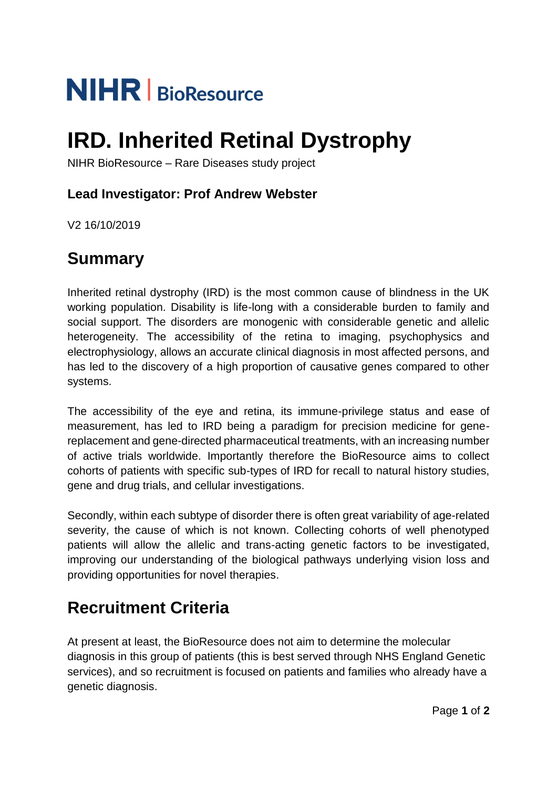# **NIHR** | BioResource

## **IRD. Inherited Retinal Dystrophy**

NIHR BioResource – Rare Diseases study project

### **Lead Investigator: Prof Andrew Webster**

V2 16/10/2019

## **Summary**

Inherited retinal dystrophy (IRD) is the most common cause of blindness in the UK working population. Disability is life-long with a considerable burden to family and social support. The disorders are monogenic with considerable genetic and allelic heterogeneity. The accessibility of the retina to imaging, psychophysics and electrophysiology, allows an accurate clinical diagnosis in most affected persons, and has led to the discovery of a high proportion of causative genes compared to other systems.

The accessibility of the eye and retina, its immune-privilege status and ease of measurement, has led to IRD being a paradigm for precision medicine for genereplacement and gene-directed pharmaceutical treatments, with an increasing number of active trials worldwide. Importantly therefore the BioResource aims to collect cohorts of patients with specific sub-types of IRD for recall to natural history studies, gene and drug trials, and cellular investigations.

Secondly, within each subtype of disorder there is often great variability of age-related severity, the cause of which is not known. Collecting cohorts of well phenotyped patients will allow the allelic and trans-acting genetic factors to be investigated, improving our understanding of the biological pathways underlying vision loss and providing opportunities for novel therapies.

## **Recruitment Criteria**

At present at least, the BioResource does not aim to determine the molecular diagnosis in this group of patients (this is best served through NHS England Genetic services), and so recruitment is focused on patients and families who already have a genetic diagnosis.